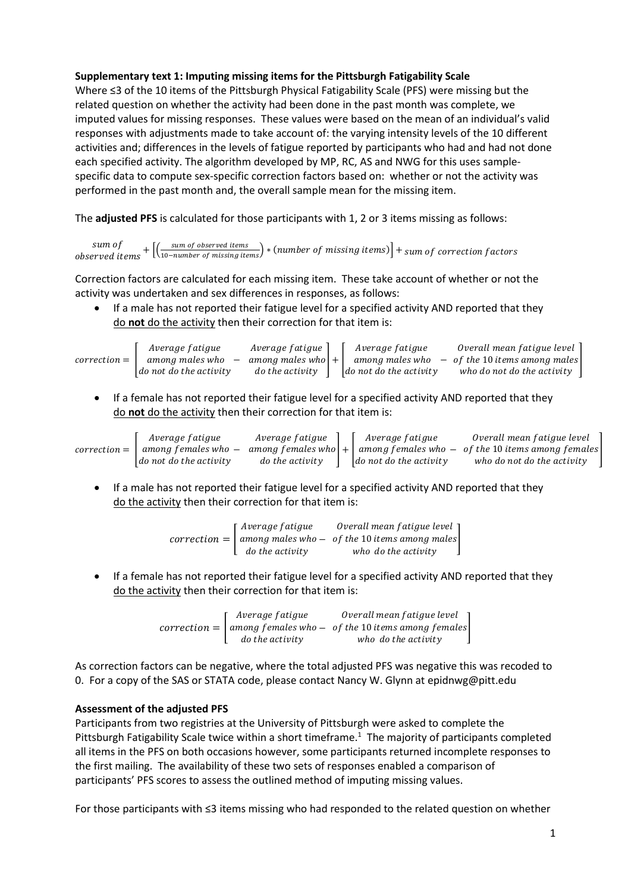## **Supplementary text 1: Imputing missing items for the Pittsburgh Fatigability Scale**

Where ≤3 of the 10 items of the Pittsburgh Physical Fatigability Scale (PFS) were missing but the related question on whether the activity had been done in the past month was complete, we imputed values for missing responses. These values were based on the mean of an individual's valid responses with adjustments made to take account of: the varying intensity levels of the 10 different activities and; differences in the levels of fatigue reported by participants who had and had not done each specified activity. The algorithm developed by MP, RC, AS and NWG for this uses samplespecific data to compute sex-specific correction factors based on: whether or not the activity was performed in the past month and, the overall sample mean for the missing item.

The **adjusted PFS** is calculated for those participants with 1, 2 or 3 items missing as follows:

sum of sum of  $+$   $\left[\left(\frac{sum\space of\space observed\space items}{_{10-number\space of\space missing\space items}}\right)*\left(number\space of\space missing\space items\space of\space missing\space items\right)\right]+ sum\space of\space correction\space factors$ 

Correction factors are calculated for each missing item. These take account of whether or not the activity was undertaken and sex differences in responses, as follows:

 If a male has not reported their fatigue level for a specified activity AND reported that they do **not** do the activity then their correction for that item is:

|                | Average fatigue                      | Average fatigue       | Average fatigue                | Overall mean fatigue level      |
|----------------|--------------------------------------|-----------------------|--------------------------------|---------------------------------|
| $correction =$ | among males who                      | among males who $ + $ | among males who                | $-$ of the 10 items among males |
|                | $\mathcal{A}$ do not do the activity | do the activity       | $\vert$ do not do the activity | who do not do the activity      |

 If a female has not reported their fatigue level for a specified activity AND reported that they do **not** do the activity then their correction for that item is:

|                | Average fatigue                | Average fatigue | Average fatigue                | Overall mean fatigue level                                                  |
|----------------|--------------------------------|-----------------|--------------------------------|-----------------------------------------------------------------------------|
| $correction =$ | among females who –            |                 |                                | among females who $ + $ among females who $-$ of the 10 items among females |
|                | $\vert$ do not do the activity | do the activity | $\vert$ do not do the activity | who do not do the activity                                                  |

 If a male has not reported their fatigue level for a specified activity AND reported that they do the activity then their correction for that item is:

> $correction = |$ Average fatigue among males who do the activity − Overall mean fatigue level of the 10 items among males<br>who do the activity

 If a female has not reported their fatigue level for a specified activity AND reported that they do the activity then their correction for that item is:

> $correction = |$ Average fatigue among females who do the activity − Overall mean fatigue level of the 10 items among females<br>who do the activity

As correction factors can be negative, where the total adjusted PFS was negative this was recoded to 0. For a copy of the SAS or STATA code, please contact Nancy W. Glynn at epidnwg@pitt.edu

## **Assessment of the adjusted PFS**

Participants from two registries at the University of Pittsburgh were asked to complete the Pittsburgh Fatigability Scale twice within a short timeframe.<sup>1</sup> The majority of participants completed all items in the PFS on both occasions however, some participants returned incomplete responses to the first mailing. The availability of these two sets of responses enabled a comparison of participants' PFS scores to assess the outlined method of imputing missing values.

For those participants with ≤3 items missing who had responded to the related question on whether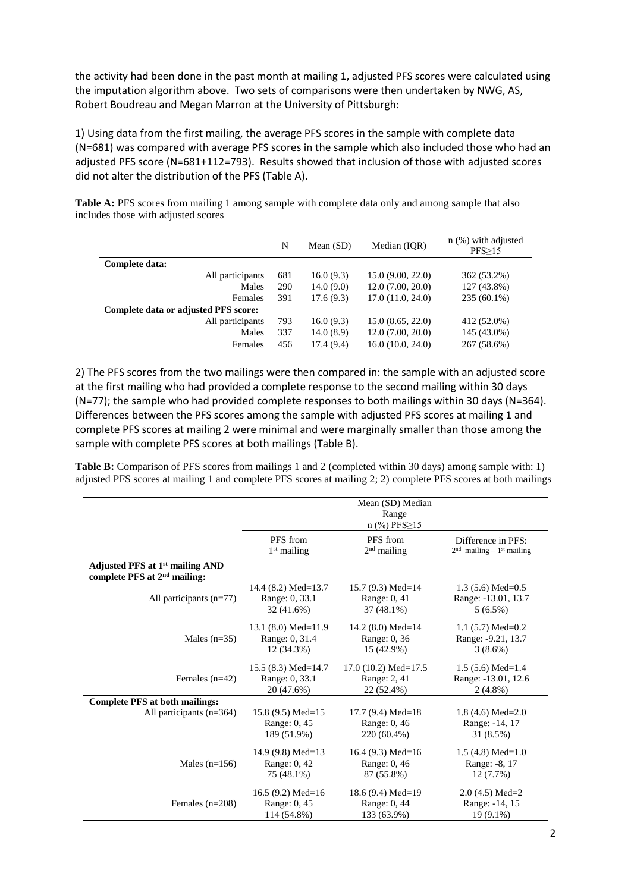the activity had been done in the past month at mailing 1, adjusted PFS scores were calculated using the imputation algorithm above. Two sets of comparisons were then undertaken by NWG, AS, Robert Boudreau and Megan Marron at the University of Pittsburgh:

1) Using data from the first mailing, the average PFS scores in the sample with complete data (N=681) was compared with average PFS scores in the sample which also included those who had an adjusted PFS score (N=681+112=793). Results showed that inclusion of those with adjusted scores did not alter the distribution of the PFS (Table A).

**Table A:** PFS scores from mailing 1 among sample with complete data only and among sample that also includes those with adjusted scores

|                                      |                  | N   | Mean $(SD)$ | Median (IQR)     | $n$ (%) with adjusted<br>$PFS \geq 15$ |
|--------------------------------------|------------------|-----|-------------|------------------|----------------------------------------|
| Complete data:                       |                  |     |             |                  |                                        |
|                                      | All participants | 681 | 16.0(9.3)   | 15.0(9.00, 22.0) | 362 (53.2%)                            |
|                                      | Males            | 290 | 14.0(9.0)   | 12.0(7.00, 20.0) | 127 (43.8%)                            |
|                                      | Females          | 391 | 17.6(9.3)   | 17.0(11.0, 24.0) | $235(60.1\%)$                          |
| Complete data or adjusted PFS score: |                  |     |             |                  |                                        |
|                                      | All participants | 793 | 16.0(9.3)   | 15.0(8.65, 22.0) | 412 (52.0%)                            |
|                                      | Males            | 337 | 14.0(8.9)   | 12.0(7.00, 20.0) | 145 (43.0%)                            |
|                                      | Females          | 456 | 17.4(9.4)   | 16.0(10.0, 24.0) | 267 (58.6%)                            |

2) The PFS scores from the two mailings were then compared in: the sample with an adjusted score at the first mailing who had provided a complete response to the second mailing within 30 days (N=77); the sample who had provided complete responses to both mailings within 30 days (N=364). Differences between the PFS scores among the sample with adjusted PFS scores at mailing 1 and complete PFS scores at mailing 2 were minimal and were marginally smaller than those among the sample with complete PFS scores at both mailings (Table B).

**Table B:** Comparison of PFS scores from mailings 1 and 2 (completed within 30 days) among sample with: 1) adjusted PFS scores at mailing 1 and complete PFS scores at mailing 2; 2) complete PFS scores at both mailings

|                                                                                         | Mean (SD) Median<br>Range<br>$n$ (%) PFS $\geq$ 15 |                        |                                         |  |
|-----------------------------------------------------------------------------------------|----------------------------------------------------|------------------------|-----------------------------------------|--|
|                                                                                         | PFS from                                           | PFS from               | Difference in PFS:                      |  |
|                                                                                         | $1st$ mailing                                      | $2nd$ mailing          | $2nd$ mailing – 1 <sup>st</sup> mailing |  |
| Adjusted PFS at 1 <sup>st</sup> mailing AND<br>complete PFS at 2 <sup>nd</sup> mailing: |                                                    |                        |                                         |  |
| All participants (n=77)                                                                 | 14.4 $(8.2)$ Med=13.7                              | 15.7 $(9.3)$ Med=14    | $1.3(5.6)$ Med=0.5                      |  |
|                                                                                         | Range: 0, 33.1                                     | Range: 0, 41           | Range: -13.01, 13.7                     |  |
|                                                                                         | 32 (41.6%)                                         | 37 (48.1%)             | $5(6.5\%)$                              |  |
| Males $(n=35)$                                                                          | 13.1 $(8.0)$ Med=11.9                              | 14.2 $(8.0)$ Med=14    | 1.1 $(5.7)$ Med=0.2                     |  |
|                                                                                         | Range: 0, 31.4                                     | Range: 0, 36           | Range: -9.21, 13.7                      |  |
|                                                                                         | 12 (34.3%)                                         | 15 (42.9%)             | $3(8.6\%)$                              |  |
| Females $(n=42)$                                                                        | 15.5 $(8.3)$ Med=14.7                              | 17.0 $(10.2)$ Med=17.5 | $1.5(5.6)$ Med=1.4                      |  |
|                                                                                         | Range: 0, 33.1                                     | Range: 2, 41           | Range: -13.01, 12.6                     |  |
|                                                                                         | 20 (47.6%)                                         | 22 (52.4%)             | $2(4.8\%)$                              |  |
| <b>Complete PFS at both mailings:</b>                                                   |                                                    |                        |                                         |  |
| All participants (n=364)                                                                | 15.8 $(9.5)$ Med=15                                | 17.7 $(9.4)$ Med=18    | 1.8 $(4.6)$ Med=2.0                     |  |
|                                                                                         | Range: 0, 45                                       | Range: 0, 46           | Range: -14, 17                          |  |
|                                                                                         | 189 (51.9%)                                        | 220 (60.4%)            | 31 (8.5%)                               |  |
| Males $(n=156)$                                                                         | 14.9 $(9.8)$ Med=13                                | 16.4 $(9.3)$ Med=16    | $1.5(4.8)$ Med= $1.0$                   |  |
|                                                                                         | Range: 0, 42                                       | Range: 0, 46           | Range: -8, 17                           |  |
|                                                                                         | 75 (48.1%)                                         | 87 (55.8%)             | 12 (7.7%)                               |  |
| Females $(n=208)$                                                                       | 16.5 $(9.2)$ Med=16                                | 18.6 $(9.4)$ Med=19    | $2.0(4.5)$ Med=2                        |  |
|                                                                                         | Range: 0, 45                                       | Range: 0, 44           | Range: -14, 15                          |  |
|                                                                                         | 114 (54.8%)                                        | 133 (63.9%)            | $19(9.1\%)$                             |  |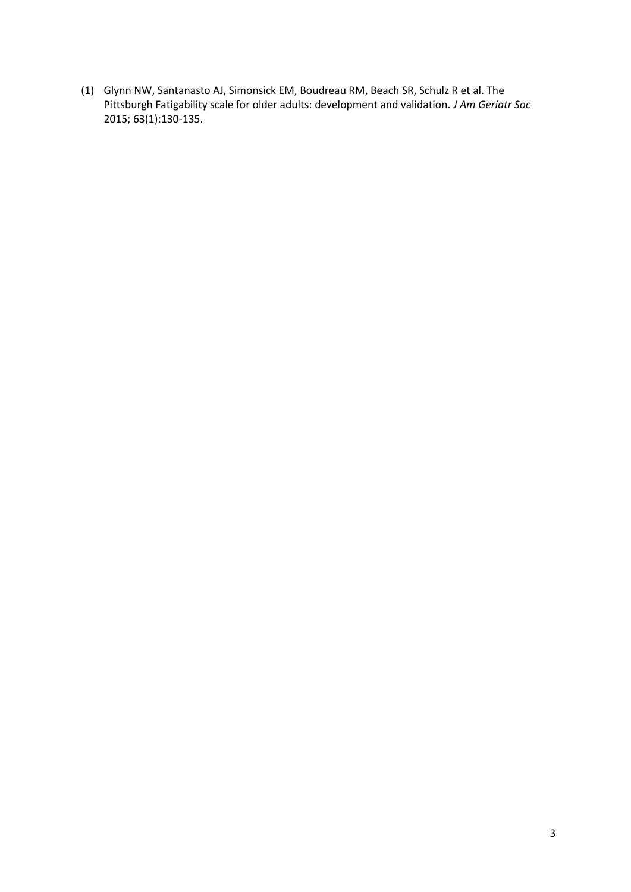(1) Glynn NW, Santanasto AJ, Simonsick EM, Boudreau RM, Beach SR, Schulz R et al. The Pittsburgh Fatigability scale for older adults: development and validation. *J Am Geriatr Soc* 2015; 63(1):130-135.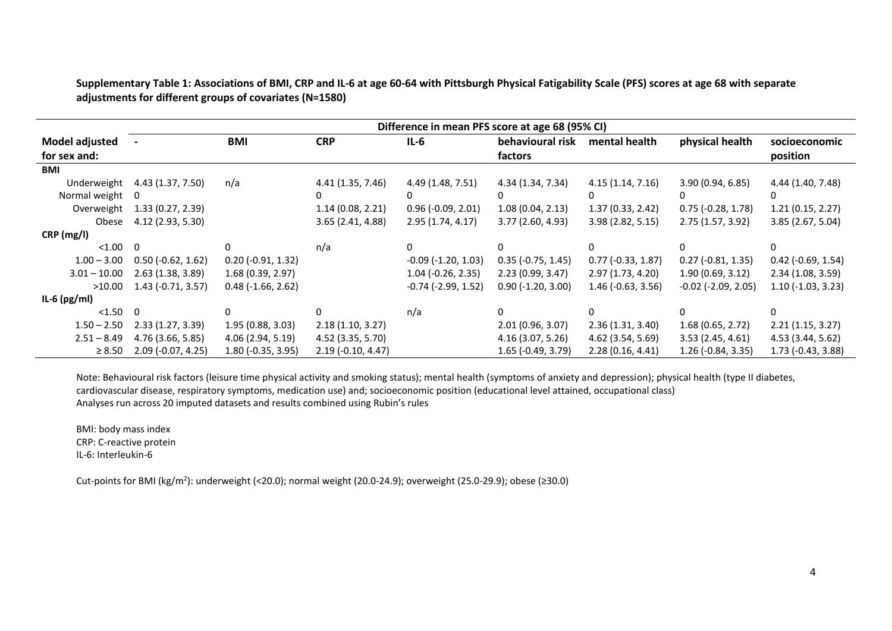**Supplementary Table 1: Associations of BMI, CRP and IL-6 at age 60-64 with Pittsburgh Physical Fatigability Scale (PFS) scores at age 68 with separate adjustments for different groups of covariates (N=1580)**

|                       | Difference in mean PFS score at age 68 (95% CI) |                      |                      |                           |                      |                      |                              |                             |
|-----------------------|-------------------------------------------------|----------------------|----------------------|---------------------------|----------------------|----------------------|------------------------------|-----------------------------|
| <b>Model adjusted</b> |                                                 | BMI                  | <b>CRP</b>           | $IL-6$                    | behavioural risk     | mental health        | physical health              | socioeconomic               |
| for sex and:          |                                                 |                      |                      |                           | factors              |                      |                              | position                    |
| <b>BMI</b>            |                                                 |                      |                      |                           |                      |                      |                              |                             |
| Underweight           | 4.43 (1.37, 7.50)                               | n/a                  | 4.41 (1.35, 7.46)    | 4.49 (1.48, 7.51)         | 4.34 (1.34, 7.34)    | 4.15(1.14, 7.16)     | 3.90 (0.94, 6.85)            | 4.44 (1.40, 7.48)           |
| Normal weight         | 0                                               |                      | $\Omega$             | 0                         | 0                    | 0                    |                              | 0                           |
| Overweight            | 1.33(0.27, 2.39)                                |                      | 1.14(0.08, 2.21)     | $0.96$ (-0.09, 2.01)      | 1.08(0.04, 2.13)     | 1.37(0.33, 2.42)     | $0.75$ (-0.28, 1.78)         | 1.21(0.15, 2.27)            |
| Obese                 | 4.12 (2.93, 5.30)                               |                      | 3.65 (2.41, 4.88)    | 2.95(1.74, 4.17)          | 3.77 (2.60, 4.93)    | 3.98 (2.82, 5.15)    | 2.75(1.57, 3.92)             | 3.85 (2.67, 5.04)           |
| CRP (mg/l)            |                                                 |                      |                      |                           |                      |                      |                              |                             |
| < 1.00                | $\Omega$                                        | <sup>0</sup>         | n/a                  | 0                         |                      |                      |                              | 0                           |
| $1.00 - 3.00$         | $0.50$ (-0.62, 1.62)                            | $0.20$ (-0.91, 1.32) |                      | $-0.09$ $(-1.20, 1.03)$   | $0.35$ (-0.75, 1.45) | $0.77$ (-0.33, 1.87) | $0.27$ (-0.81, 1.35)         | $0.42$ (-0.69, 1.54)        |
| $3.01 - 10.00$        | 2.63(1.38, 3.89)                                | 1.68(0.39, 2.97)     |                      | $1.04$ (-0.26, 2.35)      | 2.23(0.99, 3.47)     | 2.97(1.73, 4.20)     | 1.90(0.69, 3.12)             | 2.34 (1.08, 3.59)           |
| >10.00                | $1.43$ (-0.71, 3.57)                            | $0.48$ (-1.66, 2.62) |                      | $-0.74$ ( $-2.99$ , 1.52) | $0.90$ (-1.20, 3.00) | $1.46$ (-0.63, 3.56) | $-0.02$ ( $-2.09$ , $2.05$ ) | $1.10$ ( $-1.03$ , $3.23$ ) |
| IL-6 $(pg/ml)$        |                                                 |                      |                      |                           |                      |                      |                              |                             |
| < 1.50                | 0                                               |                      | <sup>n</sup>         | n/a                       |                      |                      |                              | 0                           |
| $1.50 - 2.50$         | 2.33(1.27, 3.39)                                | 1.95(0.88, 3.03)     | 2.18(1.10, 3.27)     |                           | 2.01(0.96, 3.07)     | 2.36(1.31, 3.40)     | 1.68(0.65, 2.72)             | 2.21(1.15, 3.27)            |
| $2.51 - 8.49$         | 4.76 (3.66, 5.85)                               | 4.06 (2.94, 5.19)    | 4.52 (3.35, 5.70)    |                           | 4.16 (3.07, 5.26)    | 4.62 (3.54, 5.69)    | 3.53(2.45, 4.61)             | 4.53 (3.44, 5.62)           |
| $\geq 8.50$           | $2.09$ (-0.07, 4.25)                            | $1.80$ (-0.35, 3.95) | $2.19$ (-0.10, 4.47) |                           | $1.65$ (-0.49, 3.79) | 2.28(0.16, 4.41)     | $1.26$ (-0.84, 3.35)         | $1.73$ (-0.43, 3.88)        |

Note: Behavioural risk factors (leisure time physical activity and smoking status); mental health (symptoms of anxiety and depression); physical health (type II diabetes, cardiovascular disease, respiratory symptoms, medication use) and; socioeconomic position (educational level attained, occupational class) Analyses run across 20 imputed datasets and results combined using Rubin's rules

BMI: body mass index CRP: C-reactive protein IL-6: Interleukin-6

Cut-points for BMI (kg/m<sup>2</sup>): underweight (<20.0); normal weight (20.0-24.9); overweight (25.0-29.9); obese (≥30.0)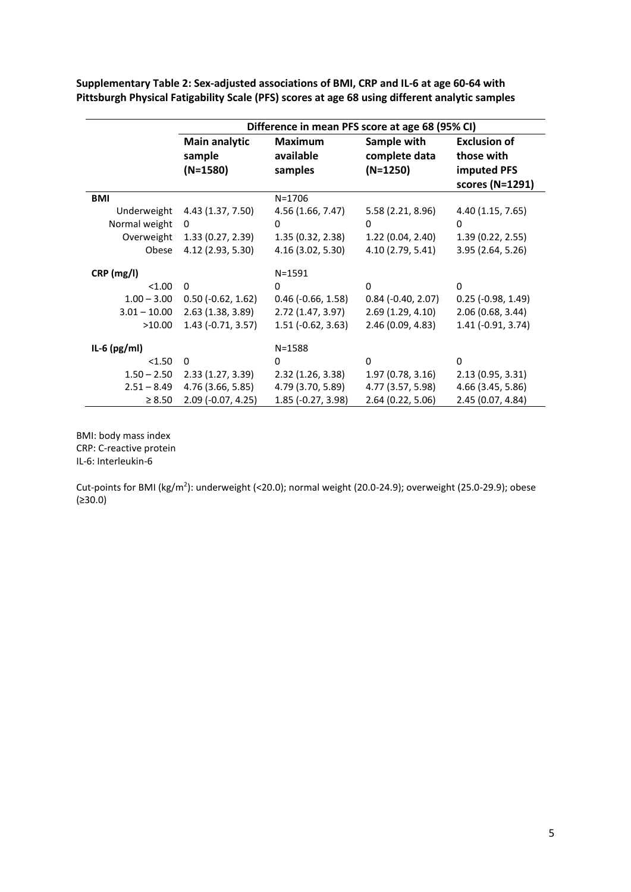**Supplementary Table 2: Sex-adjusted associations of BMI, CRP and IL-6 at age 60-64 with Pittsburgh Physical Fatigability Scale (PFS) scores at age 68 using different analytic samples**

|                                                     | Difference in mean PFS score at age 68 (95% CI)                 |                                                                 |                                                                 |                                                                 |  |
|-----------------------------------------------------|-----------------------------------------------------------------|-----------------------------------------------------------------|-----------------------------------------------------------------|-----------------------------------------------------------------|--|
|                                                     | Main analytic<br>sample<br>$(N=1580)$                           | <b>Maximum</b><br>available<br>samples                          | Sample with<br>complete data<br>$(N=1250)$                      | <b>Exclusion of</b><br>those with<br>imputed PFS                |  |
| <b>BMI</b>                                          |                                                                 | $N = 1706$                                                      |                                                                 | scores (N=1291)                                                 |  |
| Underweight<br>Normal weight<br>Overweight<br>Obese | 4.43 (1.37, 7.50)<br>0<br>1.33(0.27, 2.39)<br>4.12 (2.93, 5.30) | 4.56 (1.66, 7.47)<br>0<br>1.35(0.32, 2.38)<br>4.16 (3.02, 5.30) | 5.58 (2.21, 8.96)<br>0<br>1.22(0.04, 2.40)<br>4.10 (2.79, 5.41) | 4.40 (1.15, 7.65)<br>0<br>1.39(0.22, 2.55)<br>3.95 (2.64, 5.26) |  |
| CRP (mg/l)                                          |                                                                 | $N = 1591$                                                      |                                                                 |                                                                 |  |
| < 1.00                                              | $\Omega$                                                        | 0                                                               | 0                                                               | 0                                                               |  |
| $1.00 - 3.00$                                       | $0.50$ (-0.62, 1.62)                                            | $0.46$ ( $-0.66$ , $1.58$ )                                     | $0.84$ ( $-0.40$ , $2.07$ )                                     | $0.25$ (-0.98, 1.49)                                            |  |
| $3.01 - 10.00$                                      | 2.63(1.38, 3.89)                                                | 2.72(1.47, 3.97)                                                | 2.69(1.29, 4.10)                                                | 2.06 (0.68, 3.44)                                               |  |
| >10.00                                              | $1.43$ (-0.71, 3.57)                                            | $1.51$ (-0.62, 3.63)                                            | 2.46 (0.09, 4.83)                                               | 1.41 (-0.91, 3.74)                                              |  |
| IL-6 $(pg/ml)$                                      |                                                                 | $N = 1588$                                                      |                                                                 |                                                                 |  |
| < 1.50                                              | 0                                                               | 0                                                               | 0                                                               | $\Omega$                                                        |  |
| $1.50 - 2.50$                                       | 2.33(1.27, 3.39)                                                | 2.32(1.26, 3.38)                                                | 1.97(0.78, 3.16)                                                | 2.13 (0.95, 3.31)                                               |  |
| $2.51 - 8.49$                                       | 4.76 (3.66, 5.85)                                               | 4.79 (3.70, 5.89)                                               | 4.77 (3.57, 5.98)                                               | 4.66 (3.45, 5.86)                                               |  |
| $\geq 8.50$                                         | 2.09 (-0.07, 4.25)                                              | 1.85 (-0.27, 3.98)                                              | 2.64 (0.22, 5.06)                                               | 2.45 (0.07, 4.84)                                               |  |

BMI: body mass index CRP: C-reactive protein IL-6: Interleukin-6

Cut-points for BMI (kg/m<sup>2</sup>): underweight (<20.0); normal weight (20.0-24.9); overweight (25.0-29.9); obese (≥30.0)